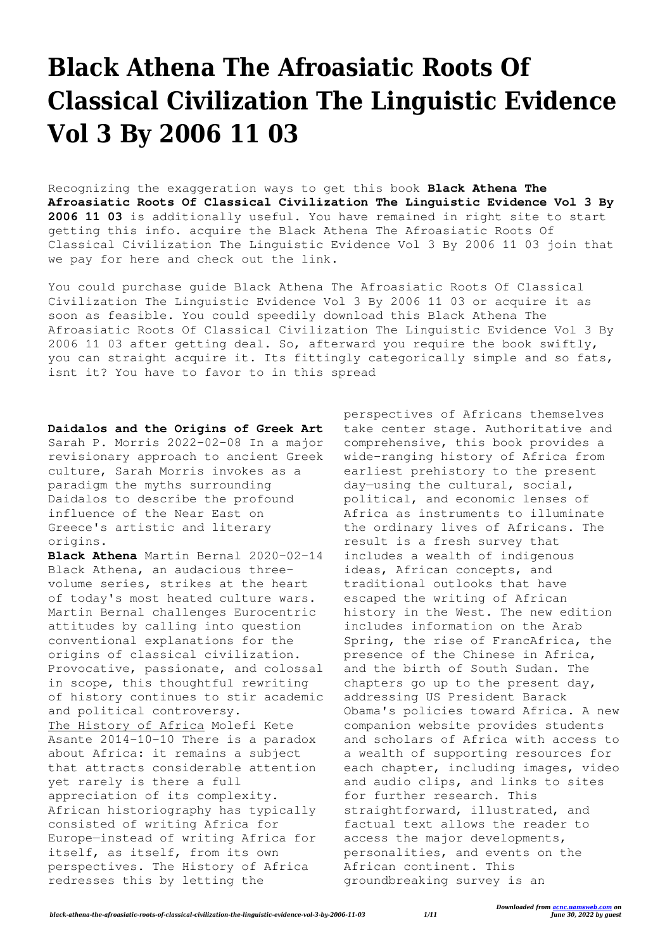## **Black Athena The Afroasiatic Roots Of Classical Civilization The Linguistic Evidence Vol 3 By 2006 11 03**

Recognizing the exaggeration ways to get this book **Black Athena The Afroasiatic Roots Of Classical Civilization The Linguistic Evidence Vol 3 By 2006 11 03** is additionally useful. You have remained in right site to start getting this info. acquire the Black Athena The Afroasiatic Roots Of Classical Civilization The Linguistic Evidence Vol 3 By 2006 11 03 join that we pay for here and check out the link.

You could purchase guide Black Athena The Afroasiatic Roots Of Classical Civilization The Linguistic Evidence Vol 3 By 2006 11 03 or acquire it as soon as feasible. You could speedily download this Black Athena The Afroasiatic Roots Of Classical Civilization The Linguistic Evidence Vol 3 By 2006 11 03 after getting deal. So, afterward you require the book swiftly, you can straight acquire it. Its fittingly categorically simple and so fats, isnt it? You have to favor to in this spread

**Daidalos and the Origins of Greek Art** Sarah P. Morris 2022-02-08 In a major revisionary approach to ancient Greek culture, Sarah Morris invokes as a paradigm the myths surrounding Daidalos to describe the profound influence of the Near East on Greece's artistic and literary origins.

**Black Athena** Martin Bernal 2020-02-14 Black Athena, an audacious threevolume series, strikes at the heart of today's most heated culture wars. Martin Bernal challenges Eurocentric attitudes by calling into question conventional explanations for the origins of classical civilization. Provocative, passionate, and colossal in scope, this thoughtful rewriting of history continues to stir academic and political controversy. The History of Africa Molefi Kete Asante 2014-10-10 There is a paradox about Africa: it remains a subject that attracts considerable attention yet rarely is there a full appreciation of its complexity. African historiography has typically consisted of writing Africa for Europe—instead of writing Africa for itself, as itself, from its own perspectives. The History of Africa redresses this by letting the

perspectives of Africans themselves take center stage. Authoritative and comprehensive, this book provides a wide-ranging history of Africa from earliest prehistory to the present day—using the cultural, social, political, and economic lenses of Africa as instruments to illuminate the ordinary lives of Africans. The result is a fresh survey that includes a wealth of indigenous ideas, African concepts, and traditional outlooks that have escaped the writing of African history in the West. The new edition includes information on the Arab Spring, the rise of FrancAfrica, the presence of the Chinese in Africa, and the birth of South Sudan. The chapters go up to the present day, addressing US President Barack Obama's policies toward Africa. A new companion website provides students and scholars of Africa with access to a wealth of supporting resources for each chapter, including images, video and audio clips, and links to sites for further research. This straightforward, illustrated, and factual text allows the reader to access the major developments, personalities, and events on the African continent. This groundbreaking survey is an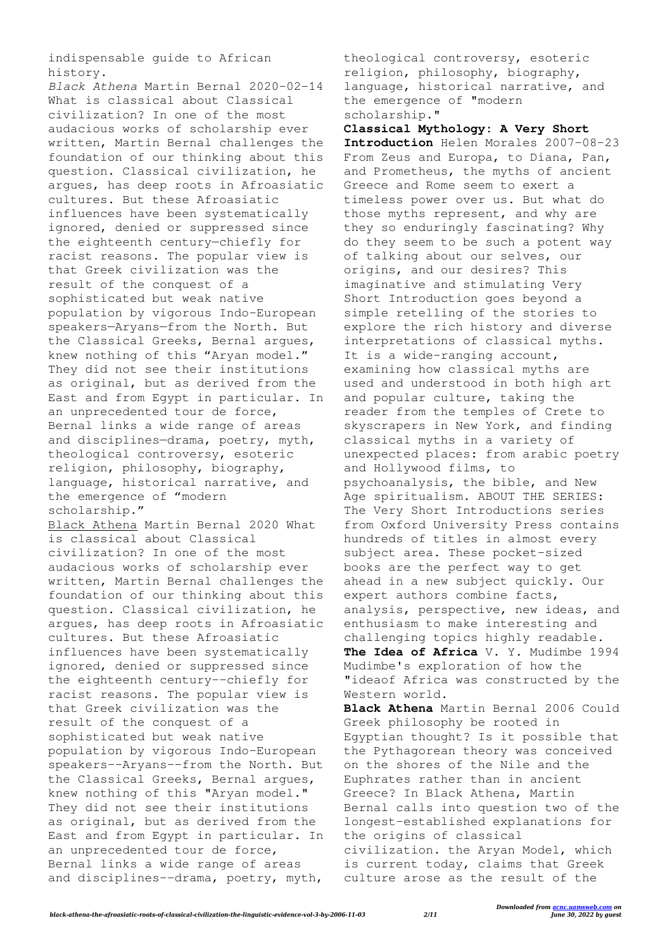indispensable guide to African history.

*Black Athena* Martin Bernal 2020-02-14 What is classical about Classical civilization? In one of the most audacious works of scholarship ever written, Martin Bernal challenges the foundation of our thinking about this question. Classical civilization, he argues, has deep roots in Afroasiatic cultures. But these Afroasiatic influences have been systematically ignored, denied or suppressed since the eighteenth century—chiefly for racist reasons. The popular view is that Greek civilization was the result of the conquest of a sophisticated but weak native population by vigorous Indo-European speakers—Aryans—from the North. But the Classical Greeks, Bernal argues, knew nothing of this "Aryan model." They did not see their institutions as original, but as derived from the East and from Egypt in particular. In an unprecedented tour de force, Bernal links a wide range of areas and disciplines—drama, poetry, myth, theological controversy, esoteric religion, philosophy, biography, language, historical narrative, and the emergence of "modern scholarship."

Black Athena Martin Bernal 2020 What is classical about Classical civilization? In one of the most audacious works of scholarship ever written, Martin Bernal challenges the foundation of our thinking about this question. Classical civilization, he argues, has deep roots in Afroasiatic cultures. But these Afroasiatic influences have been systematically ignored, denied or suppressed since the eighteenth century--chiefly for racist reasons. The popular view is that Greek civilization was the result of the conquest of a sophisticated but weak native population by vigorous Indo-European speakers--Aryans--from the North. But the Classical Greeks, Bernal argues, knew nothing of this "Aryan model." They did not see their institutions as original, but as derived from the East and from Egypt in particular. In an unprecedented tour de force, Bernal links a wide range of areas and disciplines--drama, poetry, myth,

theological controversy, esoteric religion, philosophy, biography, language, historical narrative, and the emergence of "modern scholarship."

**Classical Mythology: A Very Short Introduction** Helen Morales 2007-08-23 From Zeus and Europa, to Diana, Pan, and Prometheus, the myths of ancient Greece and Rome seem to exert a timeless power over us. But what do those myths represent, and why are they so enduringly fascinating? Why do they seem to be such a potent way of talking about our selves, our origins, and our desires? This imaginative and stimulating Very Short Introduction goes beyond a simple retelling of the stories to explore the rich history and diverse interpretations of classical myths. It is a wide-ranging account, examining how classical myths are used and understood in both high art and popular culture, taking the reader from the temples of Crete to skyscrapers in New York, and finding classical myths in a variety of unexpected places: from arabic poetry and Hollywood films, to psychoanalysis, the bible, and New Age spiritualism. ABOUT THE SERIES: The Very Short Introductions series from Oxford University Press contains hundreds of titles in almost every subject area. These pocket-sized books are the perfect way to get ahead in a new subject quickly. Our expert authors combine facts, analysis, perspective, new ideas, and enthusiasm to make interesting and challenging topics highly readable. **The Idea of Africa** V. Y. Mudimbe 1994 Mudimbe's exploration of how the "ideaof Africa was constructed by the Western world. **Black Athena** Martin Bernal 2006 Could Greek philosophy be rooted in Egyptian thought? Is it possible that the Pythagorean theory was conceived

on the shores of the Nile and the Euphrates rather than in ancient Greece? In Black Athena, Martin Bernal calls into question two of the longest-established explanations for the origins of classical civilization. the Aryan Model, which is current today, claims that Greek culture arose as the result of the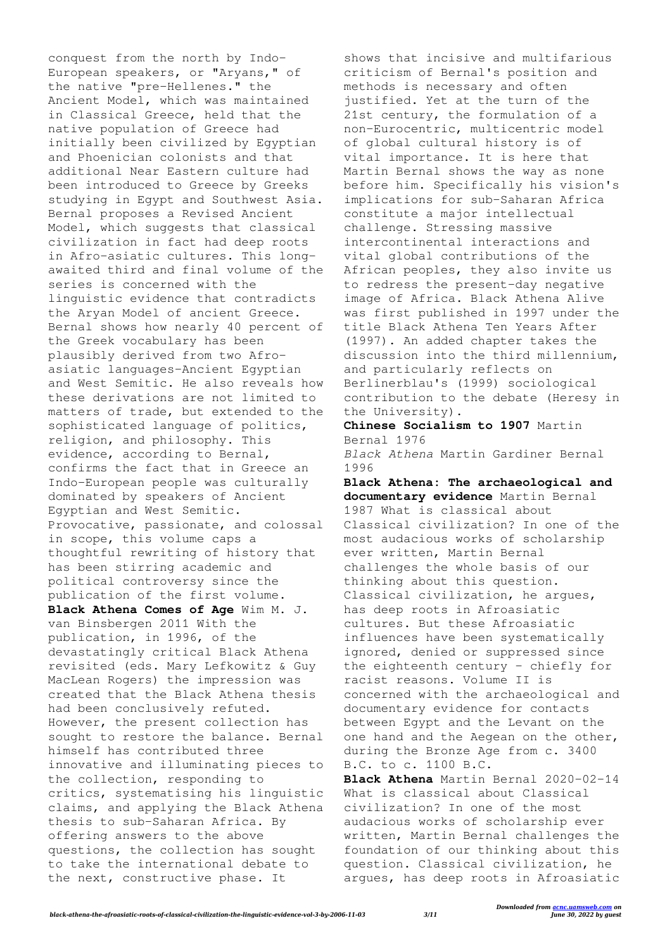conquest from the north by Indo-European speakers, or "Aryans," of the native "pre-Hellenes." the Ancient Model, which was maintained in Classical Greece, held that the native population of Greece had initially been civilized by Egyptian and Phoenician colonists and that additional Near Eastern culture had been introduced to Greece by Greeks studying in Egypt and Southwest Asia. Bernal proposes a Revised Ancient Model, which suggests that classical civilization in fact had deep roots in Afro-asiatic cultures. This longawaited third and final volume of the series is concerned with the linguistic evidence that contradicts the Aryan Model of ancient Greece. Bernal shows how nearly 40 percent of the Greek vocabulary has been plausibly derived from two Afroasiatic languages-Ancient Egyptian and West Semitic. He also reveals how these derivations are not limited to matters of trade, but extended to the sophisticated language of politics, religion, and philosophy. This evidence, according to Bernal, confirms the fact that in Greece an Indo-European people was culturally dominated by speakers of Ancient Egyptian and West Semitic. Provocative, passionate, and colossal in scope, this volume caps a thoughtful rewriting of history that has been stirring academic and political controversy since the publication of the first volume. **Black Athena Comes of Age** Wim M. J. van Binsbergen 2011 With the publication, in 1996, of the devastatingly critical Black Athena revisited (eds. Mary Lefkowitz & Guy MacLean Rogers) the impression was created that the Black Athena thesis had been conclusively refuted. However, the present collection has sought to restore the balance. Bernal himself has contributed three innovative and illuminating pieces to the collection, responding to critics, systematising his linguistic claims, and applying the Black Athena thesis to sub-Saharan Africa. By offering answers to the above questions, the collection has sought to take the international debate to the next, constructive phase. It

shows that incisive and multifarious criticism of Bernal's position and methods is necessary and often justified. Yet at the turn of the 21st century, the formulation of a non-Eurocentric, multicentric model of global cultural history is of vital importance. It is here that Martin Bernal shows the way as none before him. Specifically his vision's implications for sub-Saharan Africa constitute a major intellectual challenge. Stressing massive intercontinental interactions and vital global contributions of the African peoples, they also invite us to redress the present-day negative image of Africa. Black Athena Alive was first published in 1997 under the title Black Athena Ten Years After (1997). An added chapter takes the discussion into the third millennium, and particularly reflects on Berlinerblau's (1999) sociological contribution to the debate (Heresy in the University).

**Chinese Socialism to 1907** Martin Bernal 1976 *Black Athena* Martin Gardiner Bernal

1996

**Black Athena: The archaeological and documentary evidence** Martin Bernal 1987 What is classical about Classical civilization? In one of the most audacious works of scholarship ever written, Martin Bernal challenges the whole basis of our thinking about this question. Classical civilization, he argues, has deep roots in Afroasiatic cultures. But these Afroasiatic influences have been systematically ignored, denied or suppressed since the eighteenth century - chiefly for racist reasons. Volume II is concerned with the archaeological and documentary evidence for contacts between Egypt and the Levant on the one hand and the Aegean on the other, during the Bronze Age from c. 3400 B.C. to c. 1100 B.C.

**Black Athena** Martin Bernal 2020-02-14 What is classical about Classical civilization? In one of the most audacious works of scholarship ever written, Martin Bernal challenges the foundation of our thinking about this question. Classical civilization, he argues, has deep roots in Afroasiatic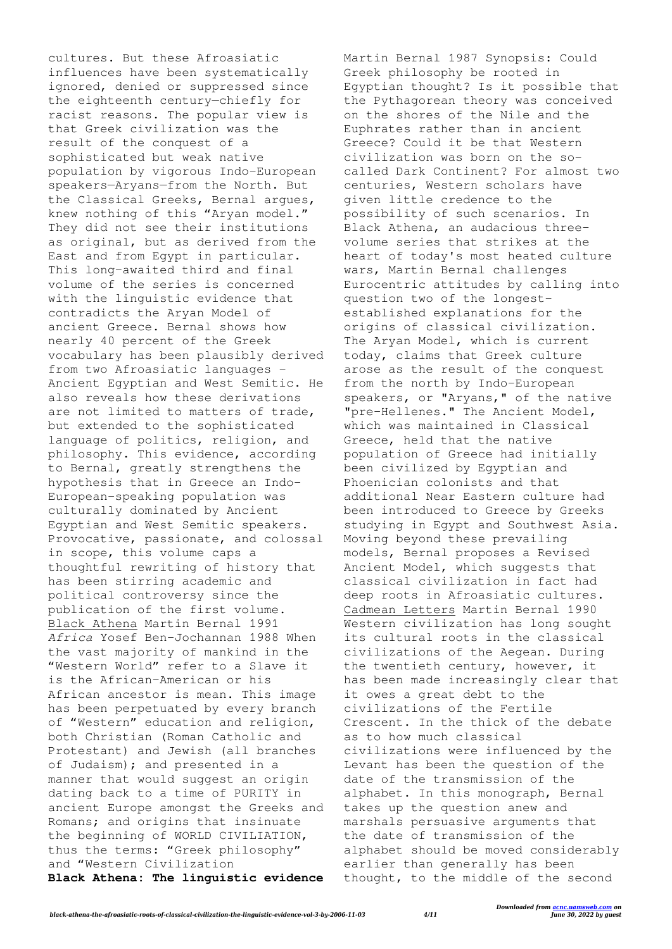cultures. But these Afroasiatic influences have been systematically ignored, denied or suppressed since the eighteenth century—chiefly for racist reasons. The popular view is that Greek civilization was the result of the conquest of a sophisticated but weak native population by vigorous Indo-European speakers—Aryans—from the North. But the Classical Greeks, Bernal argues, knew nothing of this "Aryan model." They did not see their institutions as original, but as derived from the East and from Egypt in particular. This long-awaited third and final volume of the series is concerned with the linguistic evidence that contradicts the Aryan Model of ancient Greece. Bernal shows how nearly 40 percent of the Greek vocabulary has been plausibly derived from two Afroasiatic languages – Ancient Egyptian and West Semitic. He also reveals how these derivations are not limited to matters of trade, but extended to the sophisticated language of politics, religion, and philosophy. This evidence, according to Bernal, greatly strengthens the hypothesis that in Greece an Indo-European-speaking population was culturally dominated by Ancient Egyptian and West Semitic speakers. Provocative, passionate, and colossal in scope, this volume caps a thoughtful rewriting of history that has been stirring academic and political controversy since the publication of the first volume. Black Athena Martin Bernal 1991 *Africa* Yosef Ben-Jochannan 1988 When the vast majority of mankind in the "Western World" refer to a Slave it is the African-American or his African ancestor is mean. This image has been perpetuated by every branch of "Western" education and religion, both Christian (Roman Catholic and Protestant) and Jewish (all branches of Judaism); and presented in a manner that would suggest an origin dating back to a time of PURITY in ancient Europe amongst the Greeks and Romans; and origins that insinuate the beginning of WORLD CIVILIATION, thus the terms: "Greek philosophy" and "Western Civilization **Black Athena: The linguistic evidence** Martin Bernal 1987 Synopsis: Could Greek philosophy be rooted in Egyptian thought? Is it possible that the Pythagorean theory was conceived on the shores of the Nile and the Euphrates rather than in ancient Greece? Could it be that Western civilization was born on the socalled Dark Continent? For almost two centuries, Western scholars have given little credence to the possibility of such scenarios. In Black Athena, an audacious threevolume series that strikes at the heart of today's most heated culture wars, Martin Bernal challenges Eurocentric attitudes by calling into question two of the longestestablished explanations for the origins of classical civilization. The Aryan Model, which is current today, claims that Greek culture arose as the result of the conquest from the north by Indo-European speakers, or "Aryans," of the native "pre-Hellenes." The Ancient Model, which was maintained in Classical Greece, held that the native population of Greece had initially been civilized by Egyptian and Phoenician colonists and that additional Near Eastern culture had been introduced to Greece by Greeks studying in Egypt and Southwest Asia. Moving beyond these prevailing models, Bernal proposes a Revised Ancient Model, which suggests that classical civilization in fact had deep roots in Afroasiatic cultures. Cadmean Letters Martin Bernal 1990 Western civilization has long sought its cultural roots in the classical civilizations of the Aegean. During the twentieth century, however, it has been made increasingly clear that it owes a great debt to the civilizations of the Fertile Crescent. In the thick of the debate as to how much classical civilizations were influenced by the Levant has been the question of the date of the transmission of the alphabet. In this monograph, Bernal takes up the question anew and marshals persuasive arguments that the date of transmission of the alphabet should be moved considerably earlier than generally has been thought, to the middle of the second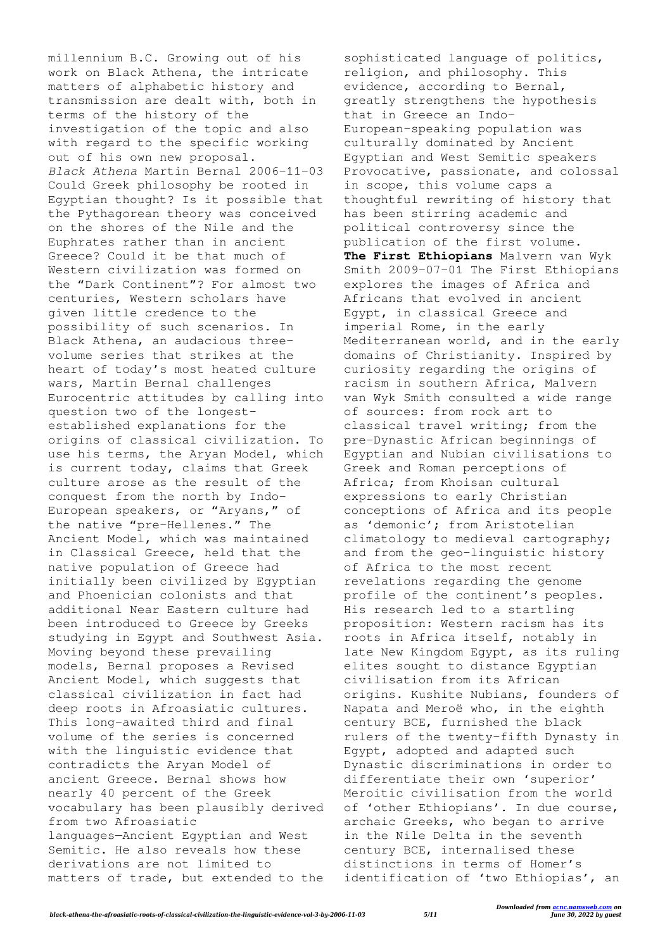millennium B.C. Growing out of his work on Black Athena, the intricate matters of alphabetic history and transmission are dealt with, both in terms of the history of the investigation of the topic and also with regard to the specific working out of his own new proposal. *Black Athena* Martin Bernal 2006-11-03 Could Greek philosophy be rooted in Egyptian thought? Is it possible that the Pythagorean theory was conceived on the shores of the Nile and the Euphrates rather than in ancient Greece? Could it be that much of Western civilization was formed on the "Dark Continent"? For almost two centuries, Western scholars have given little credence to the possibility of such scenarios. In Black Athena, an audacious threevolume series that strikes at the heart of today's most heated culture wars, Martin Bernal challenges Eurocentric attitudes by calling into question two of the longestestablished explanations for the origins of classical civilization. To use his terms, the Aryan Model, which is current today, claims that Greek culture arose as the result of the conquest from the north by Indo-European speakers, or "Aryans," of the native "pre-Hellenes." The Ancient Model, which was maintained in Classical Greece, held that the native population of Greece had initially been civilized by Egyptian and Phoenician colonists and that additional Near Eastern culture had been introduced to Greece by Greeks studying in Egypt and Southwest Asia. Moving beyond these prevailing models, Bernal proposes a Revised Ancient Model, which suggests that classical civilization in fact had deep roots in Afroasiatic cultures. This long-awaited third and final volume of the series is concerned with the linguistic evidence that contradicts the Aryan Model of ancient Greece. Bernal shows how nearly 40 percent of the Greek vocabulary has been plausibly derived from two Afroasiatic languages—Ancient Egyptian and West Semitic. He also reveals how these derivations are not limited to matters of trade, but extended to the

sophisticated language of politics, religion, and philosophy. This evidence, according to Bernal, greatly strengthens the hypothesis that in Greece an Indo-European–speaking population was culturally dominated by Ancient Egyptian and West Semitic speakers Provocative, passionate, and colossal in scope, this volume caps a thoughtful rewriting of history that has been stirring academic and political controversy since the publication of the first volume. **The First Ethiopians** Malvern van Wyk Smith 2009-07-01 The First Ethiopians explores the images of Africa and Africans that evolved in ancient Egypt, in classical Greece and imperial Rome, in the early Mediterranean world, and in the early domains of Christianity. Inspired by curiosity regarding the origins of racism in southern Africa, Malvern van Wyk Smith consulted a wide range of sources: from rock art to classical travel writing; from the pre-Dynastic African beginnings of Egyptian and Nubian civilisations to Greek and Roman perceptions of Africa; from Khoisan cultural expressions to early Christian conceptions of Africa and its people as 'demonic'; from Aristotelian climatology to medieval cartography; and from the geo-linguistic history of Africa to the most recent revelations regarding the genome profile of the continent's peoples. His research led to a startling proposition: Western racism has its roots in Africa itself, notably in late New Kingdom Egypt, as its ruling elites sought to distance Egyptian civilisation from its African origins. Kushite Nubians, founders of Napata and Meroë who, in the eighth century BCE, furnished the black rulers of the twenty-fifth Dynasty in Egypt, adopted and adapted such Dynastic discriminations in order to differentiate their own 'superior' Meroitic civilisation from the world of 'other Ethiopians'. In due course, archaic Greeks, who began to arrive in the Nile Delta in the seventh century BCE, internalised these distinctions in terms of Homer's identification of 'two Ethiopias', an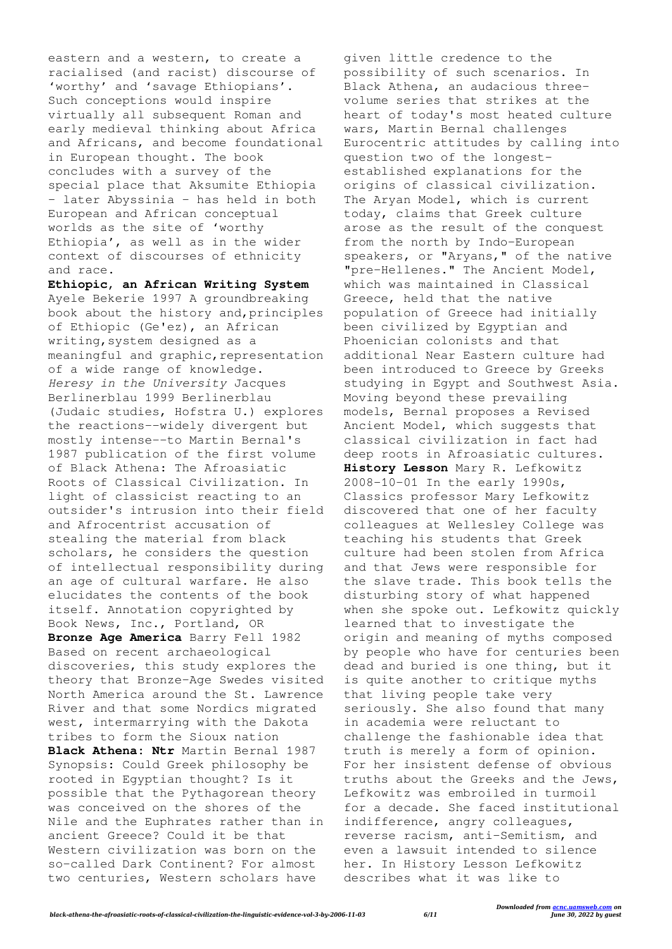eastern and a western, to create a racialised (and racist) discourse of 'worthy' and 'savage Ethiopians'. Such conceptions would inspire virtually all subsequent Roman and early medieval thinking about Africa and Africans, and become foundational in European thought. The book concludes with a survey of the special place that Aksumite Ethiopia – later Abyssinia – has held in both European and African conceptual worlds as the site of 'worthy Ethiopia', as well as in the wider context of discourses of ethnicity and race.

**Ethiopic, an African Writing System** Ayele Bekerie 1997 A groundbreaking book about the history and,principles of Ethiopic (Ge'ez), an African writing,system designed as a meaningful and graphic, representation of a wide range of knowledge. *Heresy in the University* Jacques Berlinerblau 1999 Berlinerblau (Judaic studies, Hofstra U.) explores the reactions--widely divergent but mostly intense--to Martin Bernal's 1987 publication of the first volume of Black Athena: The Afroasiatic Roots of Classical Civilization. In light of classicist reacting to an outsider's intrusion into their field and Afrocentrist accusation of stealing the material from black scholars, he considers the question of intellectual responsibility during an age of cultural warfare. He also elucidates the contents of the book itself. Annotation copyrighted by Book News, Inc., Portland, OR **Bronze Age America** Barry Fell 1982 Based on recent archaeological discoveries, this study explores the theory that Bronze-Age Swedes visited North America around the St. Lawrence River and that some Nordics migrated west, intermarrying with the Dakota tribes to form the Sioux nation **Black Athena: Ntr** Martin Bernal 1987 Synopsis: Could Greek philosophy be rooted in Egyptian thought? Is it possible that the Pythagorean theory was conceived on the shores of the Nile and the Euphrates rather than in ancient Greece? Could it be that Western civilization was born on the so-called Dark Continent? For almost two centuries, Western scholars have

given little credence to the possibility of such scenarios. In Black Athena, an audacious threevolume series that strikes at the heart of today's most heated culture wars, Martin Bernal challenges Eurocentric attitudes by calling into question two of the longestestablished explanations for the origins of classical civilization. The Aryan Model, which is current today, claims that Greek culture arose as the result of the conquest from the north by Indo-European speakers, or "Aryans," of the native "pre-Hellenes." The Ancient Model, which was maintained in Classical Greece, held that the native population of Greece had initially been civilized by Egyptian and Phoenician colonists and that additional Near Eastern culture had been introduced to Greece by Greeks studying in Egypt and Southwest Asia. Moving beyond these prevailing models, Bernal proposes a Revised Ancient Model, which suggests that classical civilization in fact had deep roots in Afroasiatic cultures. **History Lesson** Mary R. Lefkowitz 2008-10-01 In the early 1990s, Classics professor Mary Lefkowitz discovered that one of her faculty colleagues at Wellesley College was teaching his students that Greek culture had been stolen from Africa and that Jews were responsible for the slave trade. This book tells the disturbing story of what happened when she spoke out. Lefkowitz quickly learned that to investigate the origin and meaning of myths composed by people who have for centuries been dead and buried is one thing, but it is quite another to critique myths that living people take very seriously. She also found that many in academia were reluctant to challenge the fashionable idea that truth is merely a form of opinion. For her insistent defense of obvious truths about the Greeks and the Jews, Lefkowitz was embroiled in turmoil for a decade. She faced institutional indifference, angry colleagues, reverse racism, anti-Semitism, and even a lawsuit intended to silence her. In History Lesson Lefkowitz describes what it was like to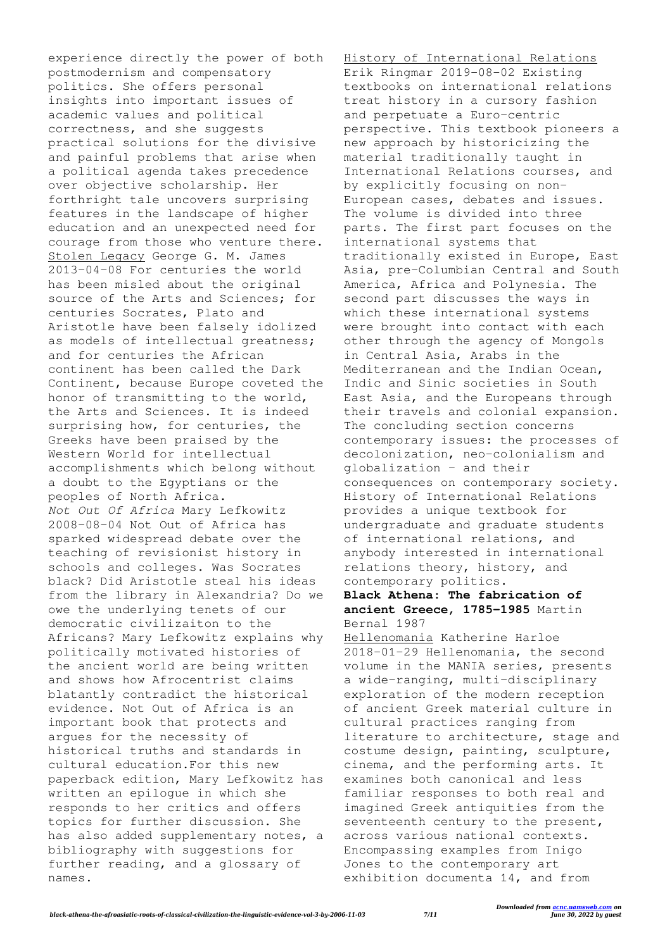experience directly the power of both postmodernism and compensatory politics. She offers personal insights into important issues of academic values and political correctness, and she suggests practical solutions for the divisive and painful problems that arise when a political agenda takes precedence over objective scholarship. Her forthright tale uncovers surprising features in the landscape of higher education and an unexpected need for courage from those who venture there. Stolen Legacy George G. M. James 2013-04-08 For centuries the world has been misled about the original source of the Arts and Sciences; for centuries Socrates, Plato and Aristotle have been falsely idolized as models of intellectual greatness; and for centuries the African continent has been called the Dark Continent, because Europe coveted the honor of transmitting to the world, the Arts and Sciences. It is indeed surprising how, for centuries, the Greeks have been praised by the Western World for intellectual accomplishments which belong without a doubt to the Egyptians or the peoples of North Africa. *Not Out Of Africa* Mary Lefkowitz 2008-08-04 Not Out of Africa has sparked widespread debate over the teaching of revisionist history in schools and colleges. Was Socrates black? Did Aristotle steal his ideas from the library in Alexandria? Do we owe the underlying tenets of our democratic civilizaiton to the Africans? Mary Lefkowitz explains why politically motivated histories of the ancient world are being written and shows how Afrocentrist claims blatantly contradict the historical evidence. Not Out of Africa is an important book that protects and argues for the necessity of historical truths and standards in cultural education.For this new paperback edition, Mary Lefkowitz has written an epilogue in which she responds to her critics and offers topics for further discussion. She has also added supplementary notes, a bibliography with suggestions for further reading, and a glossary of names.

History of International Relations Erik Ringmar 2019-08-02 Existing textbooks on international relations treat history in a cursory fashion and perpetuate a Euro-centric perspective. This textbook pioneers a new approach by historicizing the material traditionally taught in International Relations courses, and by explicitly focusing on non-European cases, debates and issues. The volume is divided into three parts. The first part focuses on the international systems that traditionally existed in Europe, East Asia, pre-Columbian Central and South America, Africa and Polynesia. The second part discusses the ways in which these international systems were brought into contact with each other through the agency of Mongols in Central Asia, Arabs in the Mediterranean and the Indian Ocean, Indic and Sinic societies in South East Asia, and the Europeans through their travels and colonial expansion. The concluding section concerns contemporary issues: the processes of decolonization, neo-colonialism and globalization – and their consequences on contemporary society. History of International Relations provides a unique textbook for undergraduate and graduate students of international relations, and anybody interested in international relations theory, history, and contemporary politics.

## **Black Athena: The fabrication of ancient Greece, 1785-1985** Martin Bernal 1987

Hellenomania Katherine Harloe 2018-01-29 Hellenomania, the second volume in the MANIA series, presents a wide-ranging, multi-disciplinary exploration of the modern reception of ancient Greek material culture in cultural practices ranging from literature to architecture, stage and costume design, painting, sculpture, cinema, and the performing arts. It examines both canonical and less familiar responses to both real and imagined Greek antiquities from the seventeenth century to the present, across various national contexts. Encompassing examples from Inigo Jones to the contemporary art exhibition documenta 14, and from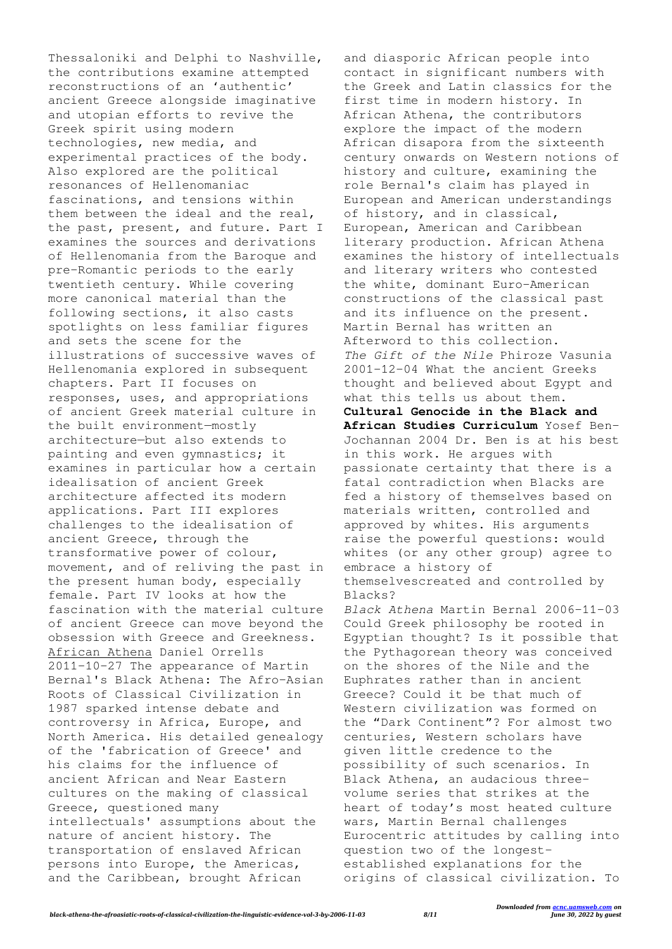Thessaloniki and Delphi to Nashville, the contributions examine attempted reconstructions of an 'authentic' ancient Greece alongside imaginative and utopian efforts to revive the Greek spirit using modern technologies, new media, and experimental practices of the body. Also explored are the political resonances of Hellenomaniac fascinations, and tensions within them between the ideal and the real, the past, present, and future. Part I examines the sources and derivations of Hellenomania from the Baroque and pre-Romantic periods to the early twentieth century. While covering more canonical material than the following sections, it also casts spotlights on less familiar figures and sets the scene for the illustrations of successive waves of Hellenomania explored in subsequent chapters. Part II focuses on responses, uses, and appropriations of ancient Greek material culture in the built environment—mostly architecture—but also extends to painting and even gymnastics; it examines in particular how a certain idealisation of ancient Greek architecture affected its modern applications. Part III explores challenges to the idealisation of ancient Greece, through the transformative power of colour, movement, and of reliving the past in the present human body, especially female. Part IV looks at how the fascination with the material culture of ancient Greece can move beyond the obsession with Greece and Greekness. African Athena Daniel Orrells 2011-10-27 The appearance of Martin Bernal's Black Athena: The Afro-Asian Roots of Classical Civilization in 1987 sparked intense debate and controversy in Africa, Europe, and North America. His detailed genealogy of the 'fabrication of Greece' and his claims for the influence of ancient African and Near Eastern cultures on the making of classical Greece, questioned many intellectuals' assumptions about the nature of ancient history. The transportation of enslaved African persons into Europe, the Americas, and the Caribbean, brought African

and diasporic African people into contact in significant numbers with the Greek and Latin classics for the first time in modern history. In African Athena, the contributors explore the impact of the modern African disapora from the sixteenth century onwards on Western notions of history and culture, examining the role Bernal's claim has played in European and American understandings of history, and in classical, European, American and Caribbean literary production. African Athena examines the history of intellectuals and literary writers who contested the white, dominant Euro-American constructions of the classical past and its influence on the present. Martin Bernal has written an Afterword to this collection. *The Gift of the Nile* Phiroze Vasunia 2001-12-04 What the ancient Greeks thought and believed about Egypt and what this tells us about them. **Cultural Genocide in the Black and African Studies Curriculum** Yosef Ben-Jochannan 2004 Dr. Ben is at his best in this work. He argues with passionate certainty that there is a fatal contradiction when Blacks are fed a history of themselves based on materials written, controlled and approved by whites. His arguments raise the powerful questions: would whites (or any other group) agree to embrace a history of themselvescreated and controlled by Blacks? *Black Athena* Martin Bernal 2006-11-03 Could Greek philosophy be rooted in Egyptian thought? Is it possible that the Pythagorean theory was conceived on the shores of the Nile and the Euphrates rather than in ancient Greece? Could it be that much of Western civilization was formed on the "Dark Continent"? For almost two centuries, Western scholars have given little credence to the possibility of such scenarios. In Black Athena, an audacious threevolume series that strikes at the heart of today's most heated culture wars, Martin Bernal challenges Eurocentric attitudes by calling into question two of the longestestablished explanations for the origins of classical civilization. To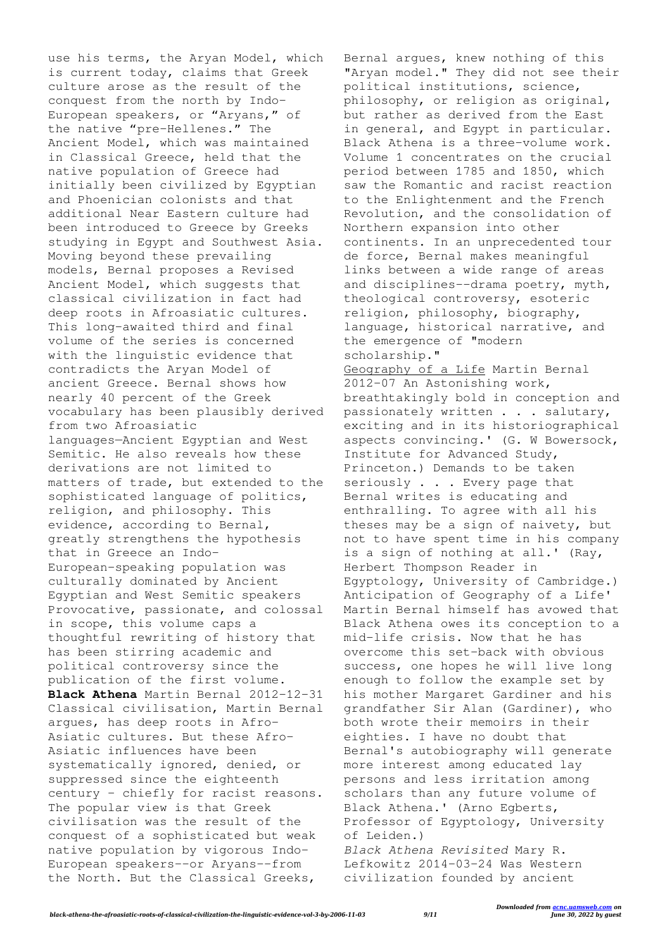use his terms, the Aryan Model, which is current today, claims that Greek culture arose as the result of the conquest from the north by Indo-European speakers, or "Aryans," of the native "pre-Hellenes." The Ancient Model, which was maintained in Classical Greece, held that the native population of Greece had initially been civilized by Egyptian and Phoenician colonists and that additional Near Eastern culture had been introduced to Greece by Greeks studying in Egypt and Southwest Asia. Moving beyond these prevailing models, Bernal proposes a Revised Ancient Model, which suggests that classical civilization in fact had deep roots in Afroasiatic cultures. This long-awaited third and final volume of the series is concerned with the linguistic evidence that contradicts the Aryan Model of ancient Greece. Bernal shows how nearly 40 percent of the Greek vocabulary has been plausibly derived from two Afroasiatic languages—Ancient Egyptian and West Semitic. He also reveals how these derivations are not limited to matters of trade, but extended to the sophisticated language of politics, religion, and philosophy. This evidence, according to Bernal, greatly strengthens the hypothesis that in Greece an Indo-European–speaking population was culturally dominated by Ancient Egyptian and West Semitic speakers Provocative, passionate, and colossal in scope, this volume caps a thoughtful rewriting of history that has been stirring academic and political controversy since the publication of the first volume. **Black Athena** Martin Bernal 2012-12-31 Classical civilisation, Martin Bernal argues, has deep roots in Afro-Asiatic cultures. But these Afro-Asiatic influences have been systematically ignored, denied, or suppressed since the eighteenth century - chiefly for racist reasons. The popular view is that Greek civilisation was the result of the conquest of a sophisticated but weak native population by vigorous Indo-European speakers--or Aryans--from the North. But the Classical Greeks,

Bernal argues, knew nothing of this "Aryan model." They did not see their political institutions, science, philosophy, or religion as original, but rather as derived from the East in general, and Egypt in particular. Black Athena is a three-volume work. Volume 1 concentrates on the crucial period between 1785 and 1850, which saw the Romantic and racist reaction to the Enlightenment and the French Revolution, and the consolidation of Northern expansion into other continents. In an unprecedented tour de force, Bernal makes meaningful links between a wide range of areas and disciplines--drama poetry, myth, theological controversy, esoteric religion, philosophy, biography, language, historical narrative, and the emergence of "modern scholarship." Geography of a Life Martin Bernal 2012-07 An Astonishing work, breathtakingly bold in conception and passionately written . . . salutary, exciting and in its historiographical aspects convincing.' (G. W Bowersock, Institute for Advanced Study, Princeton.) Demands to be taken seriously . . . Every page that Bernal writes is educating and enthralling. To agree with all his theses may be a sign of naivety, but not to have spent time in his company is a sign of nothing at all.' (Ray, Herbert Thompson Reader in Egyptology, University of Cambridge.) Anticipation of Geography of a Life' Martin Bernal himself has avowed that Black Athena owes its conception to a mid-life crisis. Now that he has overcome this set-back with obvious success, one hopes he will live long enough to follow the example set by his mother Margaret Gardiner and his grandfather Sir Alan (Gardiner), who both wrote their memoirs in their eighties. I have no doubt that Bernal's autobiography will generate more interest among educated lay persons and less irritation among scholars than any future volume of Black Athena.' (Arno Egberts, Professor of Egyptology, University of Leiden.) *Black Athena Revisited* Mary R. Lefkowitz 2014-03-24 Was Western

civilization founded by ancient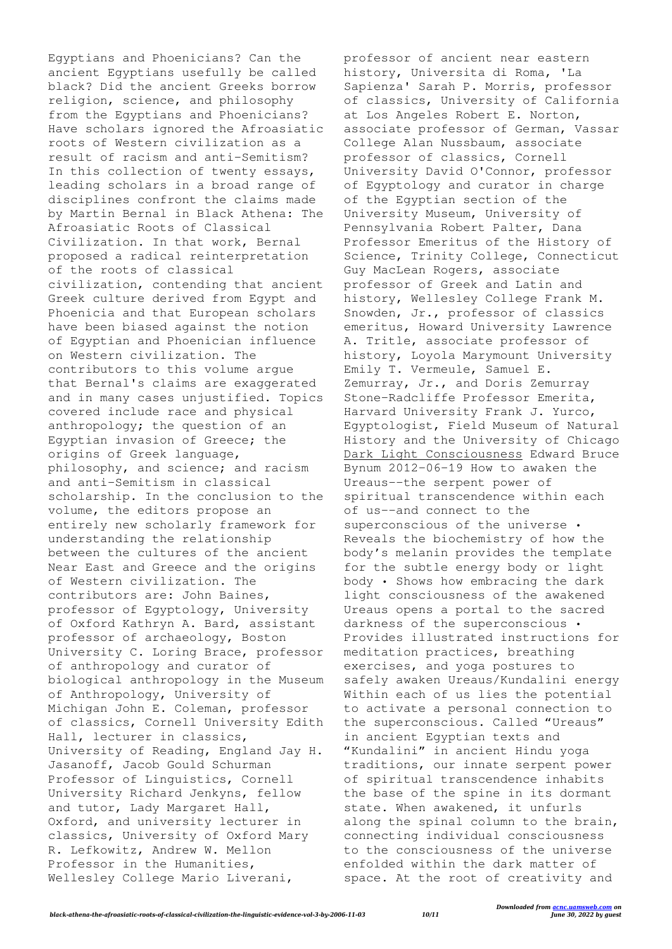Egyptians and Phoenicians? Can the ancient Egyptians usefully be called black? Did the ancient Greeks borrow religion, science, and philosophy from the Egyptians and Phoenicians? Have scholars ignored the Afroasiatic roots of Western civilization as a result of racism and anti-Semitism? In this collection of twenty essays, leading scholars in a broad range of disciplines confront the claims made by Martin Bernal in Black Athena: The Afroasiatic Roots of Classical Civilization. In that work, Bernal proposed a radical reinterpretation of the roots of classical civilization, contending that ancient Greek culture derived from Egypt and Phoenicia and that European scholars have been biased against the notion of Egyptian and Phoenician influence on Western civilization. The contributors to this volume argue that Bernal's claims are exaggerated and in many cases unjustified. Topics covered include race and physical anthropology; the question of an Egyptian invasion of Greece; the origins of Greek language, philosophy, and science; and racism and anti-Semitism in classical scholarship. In the conclusion to the volume, the editors propose an entirely new scholarly framework for understanding the relationship between the cultures of the ancient Near East and Greece and the origins of Western civilization. The contributors are: John Baines, professor of Egyptology, University of Oxford Kathryn A. Bard, assistant professor of archaeology, Boston University C. Loring Brace, professor of anthropology and curator of biological anthropology in the Museum of Anthropology, University of Michigan John E. Coleman, professor of classics, Cornell University Edith Hall, lecturer in classics, University of Reading, England Jay H. Jasanoff, Jacob Gould Schurman Professor of Linguistics, Cornell University Richard Jenkyns, fellow and tutor, Lady Margaret Hall, Oxford, and university lecturer in classics, University of Oxford Mary R. Lefkowitz, Andrew W. Mellon Professor in the Humanities, Wellesley College Mario Liverani,

professor of ancient near eastern history, Universita di Roma, 'La Sapienza' Sarah P. Morris, professor of classics, University of California at Los Angeles Robert E. Norton, associate professor of German, Vassar College Alan Nussbaum, associate professor of classics, Cornell University David O'Connor, professor of Egyptology and curator in charge of the Egyptian section of the University Museum, University of Pennsylvania Robert Palter, Dana Professor Emeritus of the History of Science, Trinity College, Connecticut Guy MacLean Rogers, associate professor of Greek and Latin and history, Wellesley College Frank M. Snowden, Jr., professor of classics emeritus, Howard University Lawrence A. Tritle, associate professor of history, Loyola Marymount University Emily T. Vermeule, Samuel E. Zemurray, Jr., and Doris Zemurray Stone-Radcliffe Professor Emerita, Harvard University Frank J. Yurco, Egyptologist, Field Museum of Natural History and the University of Chicago Dark Light Consciousness Edward Bruce Bynum 2012-06-19 How to awaken the Ureaus--the serpent power of spiritual transcendence within each of us--and connect to the superconscious of the universe • Reveals the biochemistry of how the body's melanin provides the template for the subtle energy body or light body • Shows how embracing the dark light consciousness of the awakened Ureaus opens a portal to the sacred darkness of the superconscious • Provides illustrated instructions for meditation practices, breathing exercises, and yoga postures to safely awaken Ureaus/Kundalini energy Within each of us lies the potential to activate a personal connection to the superconscious. Called "Ureaus" in ancient Egyptian texts and "Kundalini" in ancient Hindu yoga traditions, our innate serpent power of spiritual transcendence inhabits the base of the spine in its dormant state. When awakened, it unfurls along the spinal column to the brain, connecting individual consciousness to the consciousness of the universe enfolded within the dark matter of space. At the root of creativity and